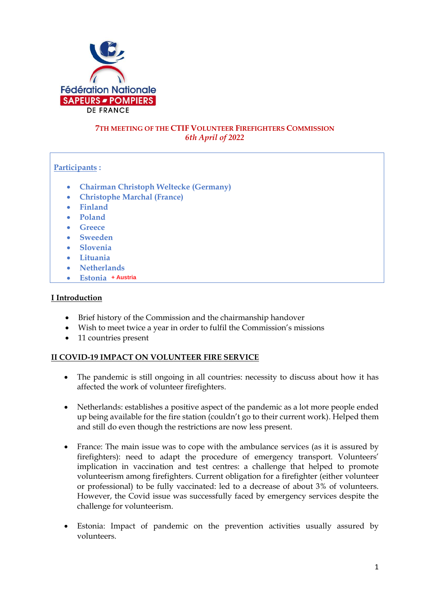

### **7TH MEETING OF THE CTIF VOLUNTEER FIREFIGHTERS COMMISSION** *6th April of 2022*

## **Participants :**

- **Chairman Christoph Weltecke (Germany)**
- **Christophe Marchal (France)**
- **Finland**
- **Poland**
- **Greece**
- **Sweeden**
- **Slovenia**
- **Lituania**
- **Netherlands**
- **Estonia + Austria**

#### **I Introduction**

- Brief history of the Commission and the chairmanship handover
- Wish to meet twice a year in order to fulfil the Commission's missions
- 11 countries present

## **II COVID-19 IMPACT ON VOLUNTEER FIRE SERVICE**

- The pandemic is still ongoing in all countries: necessity to discuss about how it has affected the work of volunteer firefighters.
- Netherlands: establishes a positive aspect of the pandemic as a lot more people ended up being available for the fire station (couldn't go to their current work). Helped them and still do even though the restrictions are now less present.
- France: The main issue was to cope with the ambulance services (as it is assured by firefighters): need to adapt the procedure of emergency transport. Volunteers' implication in vaccination and test centres: a challenge that helped to promote volunteerism among firefighters. Current obligation for a firefighter (either volunteer or professional) to be fully vaccinated: led to a decrease of about 3% of volunteers. However, the Covid issue was successfully faced by emergency services despite the challenge for volunteerism.
- Estonia: Impact of pandemic on the prevention activities usually assured by volunteers.